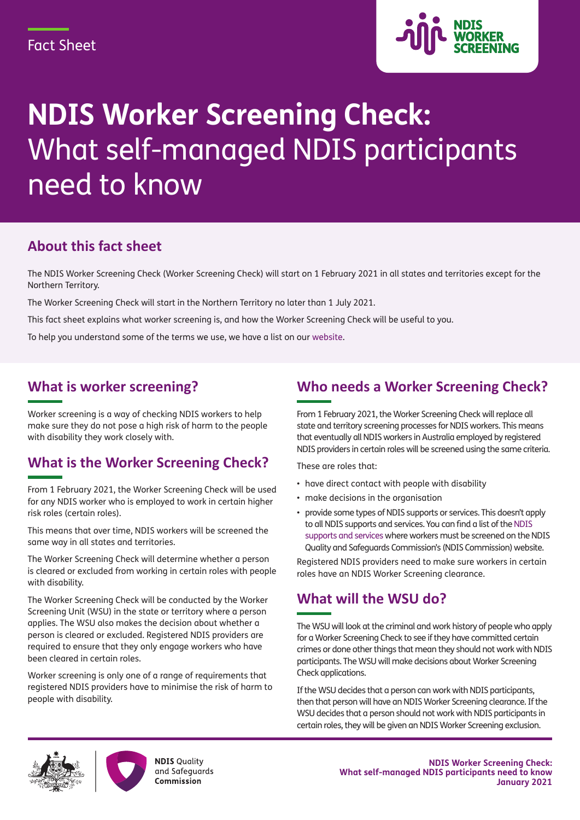

# **NDIS Worker Screening Check:** What self-managed NDIS participants need to know

#### **About this fact sheet**

The NDIS Worker Screening Check (Worker Screening Check) will start on 1 February 2021 in all states and territories except for the Northern Territory.

The Worker Screening Check will start in the Northern Territory no later than 1 July 2021.

This fact sheet explains what worker screening is, and how the Worker Screening Check will be useful to you.

To help you understand some of the terms we use, we have a list on our [website.](https://www.ndiscommission.gov.au/about/ndis-worker-screening-check)

#### **What is worker screening?**

Worker screening is a way of checking NDIS workers to help make sure they do not pose a high risk of harm to the people with disability they work closely with.

## **What is the Worker Screening Check?**

From 1 February 2021, the Worker Screening Check will be used for any NDIS worker who is employed to work in certain higher risk roles (certain roles).

This means that over time, NDIS workers will be screened the same way in all states and territories.

The Worker Screening Check will determine whether a person is cleared or excluded from working in certain roles with people with disability.

The Worker Screening Check will be conducted by the Worker Screening Unit (WSU) in the state or territory where a person applies. The WSU also makes the decision about whether a person is cleared or excluded. Registered NDIS providers are required to ensure that they only engage workers who have been cleared in certain roles.

Worker screening is only one of a range of requirements that registered NDIS providers have to minimise the risk of harm to people with disability.

### **Who needs a Worker Screening Check?**

From 1 February 2021, the Worker Screening Check will replace all state and territory screening processes for NDIS workers. This means that eventually all NDIS workers in Australia employed by registered NDIS providers in certain roles will be screened using the same criteria.

These are roles that:

- have direct contact with people with disability
- make decisions in the organisation
- provide some types of NDIS supports or services. This doesn't apply to all NDIS supports and services. You can find a list of the [NDIS](https://www.ndiscommission.gov.au/document/891) [supports and services](https://www.ndiscommission.gov.au/document/891) where workers must be screened on the NDIS Quality and Safeguards Commission's (NDIS Commission) website.

Registered NDIS providers need to make sure workers in certain roles have an NDIS Worker Screening clearance.

#### **What will the WSU do?**

The WSU will look at the criminal and work history of people who apply for a Worker Screening Check to see if they have committed certain crimes or done other things that mean they should not work with NDIS participants. The WSU will make decisions about Worker Screening Check applications.

If the WSU decides that a person can work with NDIS participants, then that person will have an NDIS Worker Screening clearance. If the WSU decides that a person should not work with NDIS participants in certain roles, they will be given an NDIS Worker Screening exclusion.





**NDIS Quality** and Safeguards Commission

**NDIS Worker Screening Check: What self-managed NDIS participants need to know January 2021**